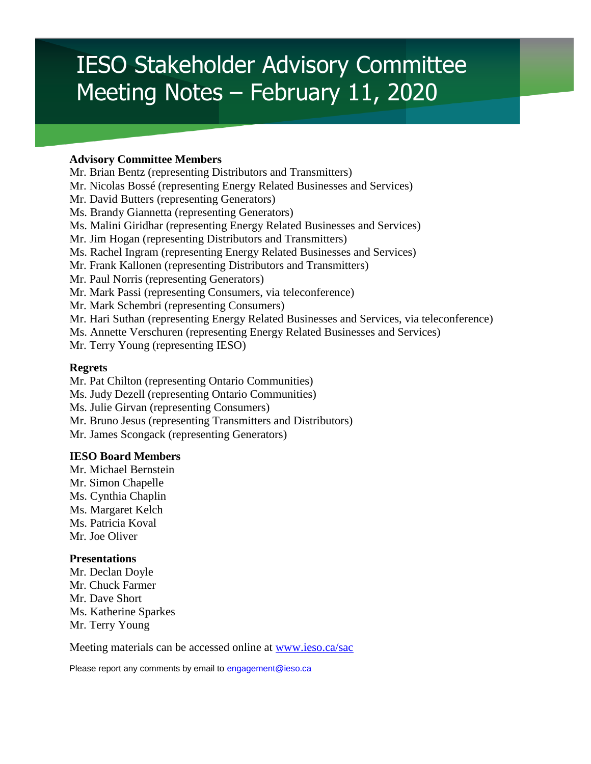# IESO Stakeholder Advisory Committee Meeting Notes – February 11, 2020

#### **Advisory Committee Members**

Mr. Brian Bentz (representing Distributors and Transmitters) Mr. Nicolas Bossé (representing Energy Related Businesses and Services) Mr. David Butters (representing Generators) Ms. Brandy Giannetta (representing Generators) Ms. Malini Giridhar (representing Energy Related Businesses and Services) Mr. Jim Hogan (representing Distributors and Transmitters) Ms. Rachel Ingram (representing Energy Related Businesses and Services) Mr. Frank Kallonen (representing Distributors and Transmitters) Mr. Paul Norris (representing Generators) Mr. Mark Passi (representing Consumers, via teleconference) Mr. Mark Schembri (representing Consumers) Mr. Hari Suthan (representing Energy Related Businesses and Services, via teleconference) Ms. Annette Verschuren (representing Energy Related Businesses and Services) Mr. Terry Young (representing IESO)

#### **Regrets**

Mr. Pat Chilton (representing Ontario Communities) Ms. Judy Dezell (representing Ontario Communities) Ms. Julie Girvan (representing Consumers) Mr. Bruno Jesus (representing Transmitters and Distributors) Mr. James Scongack (representing Generators)

#### **IESO Board Members**

Mr. Michael Bernstein Mr. Simon Chapelle Ms. Cynthia Chaplin Ms. Margaret Kelch Ms. Patricia Koval Mr. Joe Oliver

#### **Presentations**

Mr. Declan Doyle Mr. Chuck Farmer Mr. Dave Short Ms. Katherine Sparkes Mr. Terry Young

Meeting materials can be accessed online at [www.ieso.ca/sac](http://www.ieso.ca/sac)

Please report any comments by email to engagement@ieso.ca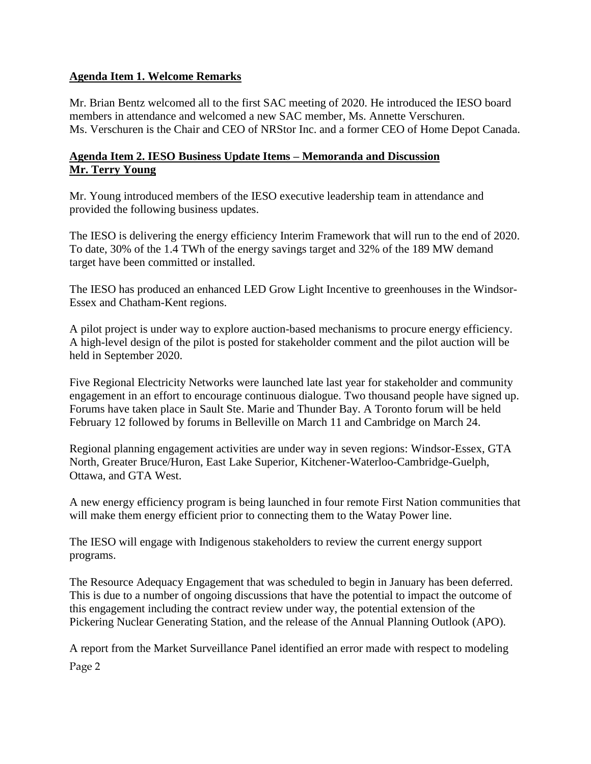#### **Agenda Item 1. Welcome Remarks**

Mr. Brian Bentz welcomed all to the first SAC meeting of 2020. He introduced the IESO board members in attendance and welcomed a new SAC member, Ms. Annette Verschuren. Ms. Verschuren is the Chair and CEO of NRStor Inc. and a former CEO of Home Depot Canada.

## **Agenda Item 2. IESO Business Update Items – Memoranda and Discussion Mr. Terry Young**

Mr. Young introduced members of the IESO executive leadership team in attendance and provided the following business updates.

The IESO is delivering the energy efficiency Interim Framework that will run to the end of 2020. To date, 30% of the 1.4 TWh of the energy savings target and 32% of the 189 MW demand target have been committed or installed.

The IESO has produced an enhanced LED Grow Light Incentive to greenhouses in the Windsor-Essex and Chatham-Kent regions.

A pilot project is under way to explore auction-based mechanisms to procure energy efficiency. A high-level design of the pilot is posted for stakeholder comment and the pilot auction will be held in September 2020.

Five Regional Electricity Networks were launched late last year for stakeholder and community engagement in an effort to encourage continuous dialogue. Two thousand people have signed up. Forums have taken place in Sault Ste. Marie and Thunder Bay. A Toronto forum will be held February 12 followed by forums in Belleville on March 11 and Cambridge on March 24.

Regional planning engagement activities are under way in seven regions: Windsor-Essex, GTA North, Greater Bruce/Huron, East Lake Superior, Kitchener-Waterloo-Cambridge-Guelph, Ottawa, and GTA West.

A new energy efficiency program is being launched in four remote First Nation communities that will make them energy efficient prior to connecting them to the Watay Power line.

The IESO will engage with Indigenous stakeholders to review the current energy support programs.

The Resource Adequacy Engagement that was scheduled to begin in January has been deferred. This is due to a number of ongoing discussions that have the potential to impact the outcome of this engagement including the contract review under way, the potential extension of the Pickering Nuclear Generating Station, and the release of the Annual Planning Outlook (APO).

Page 2 A report from the Market Surveillance Panel identified an error made with respect to modeling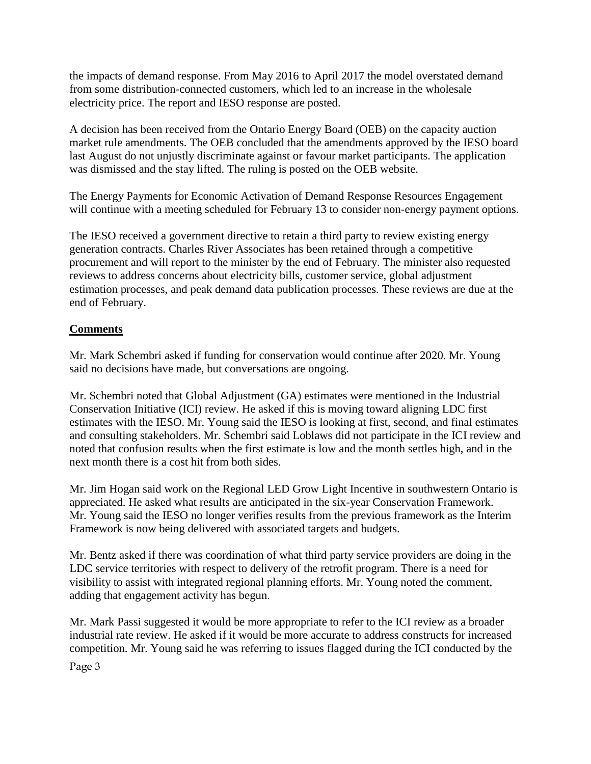the impacts of demand response. From May 2016 to April 2017 the model overstated demand from some distribution-connected customers, which led to an increase in the wholesale electricity price. The report and IESO response are posted.

A decision has been received from the Ontario Energy Board (OEB) on the capacity auction market rule amendments. The OEB concluded that the amendments approved by the IESO board last August do not unjustly discriminate against or favour market participants. The application was dismissed and the stay lifted. The ruling is posted on the OEB website.

The Energy Payments for Economic Activation of Demand Response Resources Engagement will continue with a meeting scheduled for February 13 to consider non-energy payment options.

The IESO received a government directive to retain a third party to review existing energy generation contracts. Charles River Associates has been retained through a competitive procurement and will report to the minister by the end of February. The minister also requested reviews to address concerns about electricity bills, customer service, global adjustment estimation processes, and peak demand data publication processes. These reviews are due at the end of February.

# **Comments**

Mr. Mark Schembri asked if funding for conservation would continue after 2020. Mr. Young said no decisions have made, but conversations are ongoing.

Mr. Schembri noted that Global Adjustment (GA) estimates were mentioned in the Industrial Conservation Initiative (ICI) review. He asked if this is moving toward aligning LDC first estimates with the IESO. Mr. Young said the IESO is looking at first, second, and final estimates and consulting stakeholders. Mr. Schembri said Loblaws did not participate in the ICI review and noted that confusion results when the first estimate is low and the month settles high, and in the next month there is a cost hit from both sides.

Mr. Jim Hogan said work on the Regional LED Grow Light Incentive in southwestern Ontario is appreciated. He asked what results are anticipated in the six-year Conservation Framework. Mr. Young said the IESO no longer verifies results from the previous framework as the Interim Framework is now being delivered with associated targets and budgets.

Mr. Bentz asked if there was coordination of what third party service providers are doing in the LDC service territories with respect to delivery of the retrofit program. There is a need for visibility to assist with integrated regional planning efforts. Mr. Young noted the comment, adding that engagement activity has begun.

Mr. Mark Passi suggested it would be more appropriate to refer to the ICI review as a broader industrial rate review. He asked if it would be more accurate to address constructs for increased competition. Mr. Young said he was referring to issues flagged during the ICI conducted by the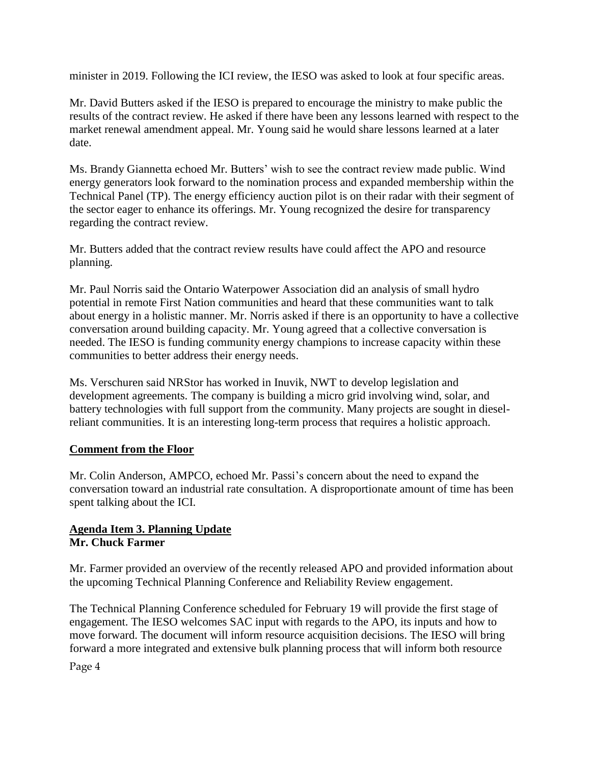minister in 2019. Following the ICI review, the IESO was asked to look at four specific areas.

Mr. David Butters asked if the IESO is prepared to encourage the ministry to make public the results of the contract review. He asked if there have been any lessons learned with respect to the market renewal amendment appeal. Mr. Young said he would share lessons learned at a later date.

Ms. Brandy Giannetta echoed Mr. Butters' wish to see the contract review made public. Wind energy generators look forward to the nomination process and expanded membership within the Technical Panel (TP). The energy efficiency auction pilot is on their radar with their segment of the sector eager to enhance its offerings. Mr. Young recognized the desire for transparency regarding the contract review.

Mr. Butters added that the contract review results have could affect the APO and resource planning.

Mr. Paul Norris said the Ontario Waterpower Association did an analysis of small hydro potential in remote First Nation communities and heard that these communities want to talk about energy in a holistic manner. Mr. Norris asked if there is an opportunity to have a collective conversation around building capacity. Mr. Young agreed that a collective conversation is needed. The IESO is funding community energy champions to increase capacity within these communities to better address their energy needs.

Ms. Verschuren said NRStor has worked in Inuvik, NWT to develop legislation and development agreements. The company is building a micro grid involving wind, solar, and battery technologies with full support from the community. Many projects are sought in dieselreliant communities. It is an interesting long-term process that requires a holistic approach.

## **Comment from the Floor**

Mr. Colin Anderson, AMPCO, echoed Mr. Passi's concern about the need to expand the conversation toward an industrial rate consultation. A disproportionate amount of time has been spent talking about the ICI.

## **Agenda Item 3. Planning Update Mr. Chuck Farmer**

Mr. Farmer provided an overview of the recently released APO and provided information about the upcoming Technical Planning Conference and Reliability Review engagement.

The Technical Planning Conference scheduled for February 19 will provide the first stage of engagement. The IESO welcomes SAC input with regards to the APO, its inputs and how to move forward. The document will inform resource acquisition decisions. The IESO will bring forward a more integrated and extensive bulk planning process that will inform both resource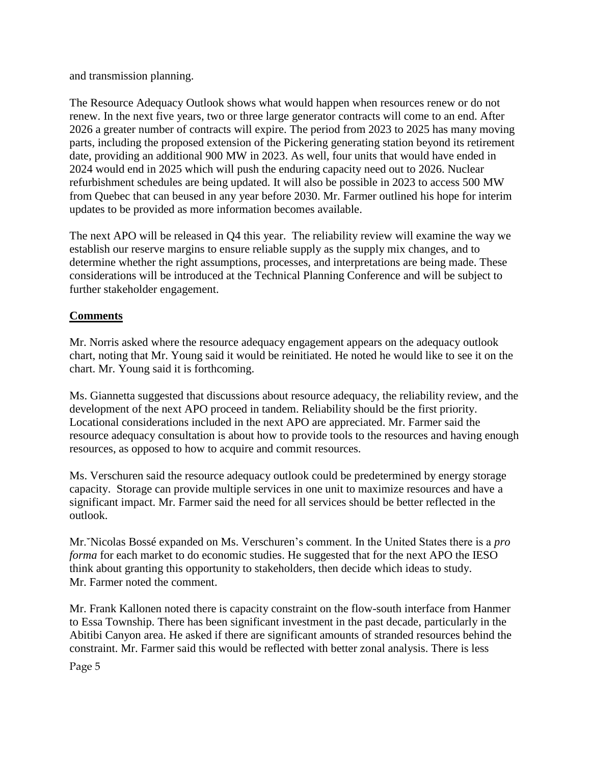and transmission planning.

The Resource Adequacy Outlook shows what would happen when resources renew or do not renew. In the next five years, two or three large generator contracts will come to an end. After 2026 a greater number of contracts will expire. The period from 2023 to 2025 has many moving parts, including the proposed extension of the Pickering generating station beyond its retirement date, providing an additional 900 MW in 2023. As well, four units that would have ended in 2024 would end in 2025 which will push the enduring capacity need out to 2026. Nuclear refurbishment schedules are being updated. It will also be possible in 2023 to access 500 MW from Quebec that can beused in any year before 2030. Mr. Farmer outlined his hope for interim updates to be provided as more information becomes available.

The next APO will be released in Q4 this year. The reliability review will examine the way we establish our reserve margins to ensure reliable supply as the supply mix changes, and to determine whether the right assumptions, processes, and interpretations are being made. These considerations will be introduced at the Technical Planning Conference and will be subject to further stakeholder engagement.

# **Comments**

Mr. Norris asked where the resource adequacy engagement appears on the adequacy outlook chart, noting that Mr. Young said it would be reinitiated. He noted he would like to see it on the chart. Mr. Young said it is forthcoming.

Ms. Giannetta suggested that discussions about resource adequacy, the reliability review, and the development of the next APO proceed in tandem. Reliability should be the first priority. Locational considerations included in the next APO are appreciated. Mr. Farmer said the resource adequacy consultation is about how to provide tools to the resources and having enough resources, as opposed to how to acquire and commit resources.

Ms. Verschuren said the resource adequacy outlook could be predetermined by energy storage capacity. Storage can provide multiple services in one unit to maximize resources and have a significant impact. Mr. Farmer said the need for all services should be better reflected in the outlook.

Mr.˘Nicolas Bossé expanded on Ms. Verschuren's comment. In the United States there is a *pro forma* for each market to do economic studies. He suggested that for the next APO the IESO think about granting this opportunity to stakeholders, then decide which ideas to study. Mr. Farmer noted the comment.

Mr. Frank Kallonen noted there is capacity constraint on the flow-south interface from Hanmer to Essa Township. There has been significant investment in the past decade, particularly in the Abitibi Canyon area. He asked if there are significant amounts of stranded resources behind the constraint. Mr. Farmer said this would be reflected with better zonal analysis. There is less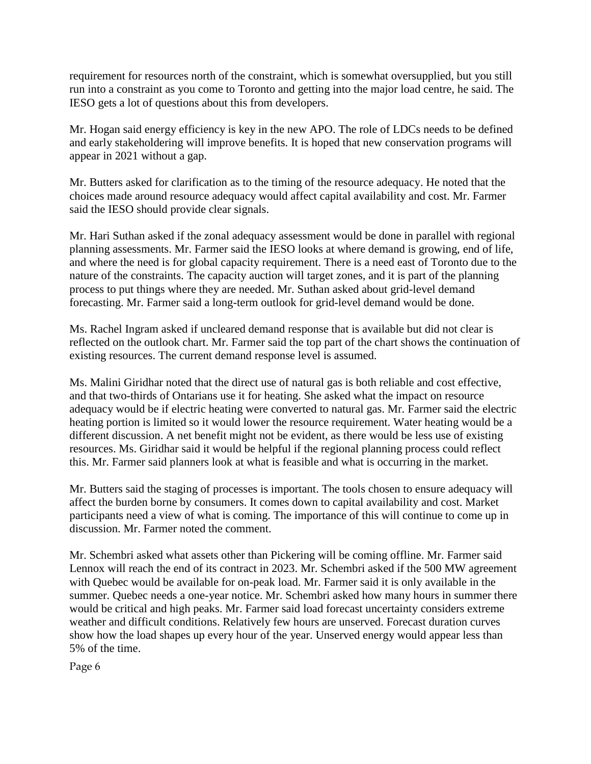requirement for resources north of the constraint, which is somewhat oversupplied, but you still run into a constraint as you come to Toronto and getting into the major load centre, he said. The IESO gets a lot of questions about this from developers.

Mr. Hogan said energy efficiency is key in the new APO. The role of LDCs needs to be defined and early stakeholdering will improve benefits. It is hoped that new conservation programs will appear in 2021 without a gap.

Mr. Butters asked for clarification as to the timing of the resource adequacy. He noted that the choices made around resource adequacy would affect capital availability and cost. Mr. Farmer said the IESO should provide clear signals.

Mr. Hari Suthan asked if the zonal adequacy assessment would be done in parallel with regional planning assessments. Mr. Farmer said the IESO looks at where demand is growing, end of life, and where the need is for global capacity requirement. There is a need east of Toronto due to the nature of the constraints. The capacity auction will target zones, and it is part of the planning process to put things where they are needed. Mr. Suthan asked about grid-level demand forecasting. Mr. Farmer said a long-term outlook for grid-level demand would be done.

Ms. Rachel Ingram asked if uncleared demand response that is available but did not clear is reflected on the outlook chart. Mr. Farmer said the top part of the chart shows the continuation of existing resources. The current demand response level is assumed.

Ms. Malini Giridhar noted that the direct use of natural gas is both reliable and cost effective, and that two-thirds of Ontarians use it for heating. She asked what the impact on resource adequacy would be if electric heating were converted to natural gas. Mr. Farmer said the electric heating portion is limited so it would lower the resource requirement. Water heating would be a different discussion. A net benefit might not be evident, as there would be less use of existing resources. Ms. Giridhar said it would be helpful if the regional planning process could reflect this. Mr. Farmer said planners look at what is feasible and what is occurring in the market.

Mr. Butters said the staging of processes is important. The tools chosen to ensure adequacy will affect the burden borne by consumers. It comes down to capital availability and cost. Market participants need a view of what is coming. The importance of this will continue to come up in discussion. Mr. Farmer noted the comment.

Mr. Schembri asked what assets other than Pickering will be coming offline. Mr. Farmer said Lennox will reach the end of its contract in 2023. Mr. Schembri asked if the 500 MW agreement with Quebec would be available for on-peak load. Mr. Farmer said it is only available in the summer. Quebec needs a one-year notice. Mr. Schembri asked how many hours in summer there would be critical and high peaks. Mr. Farmer said load forecast uncertainty considers extreme weather and difficult conditions. Relatively few hours are unserved. Forecast duration curves show how the load shapes up every hour of the year. Unserved energy would appear less than 5% of the time.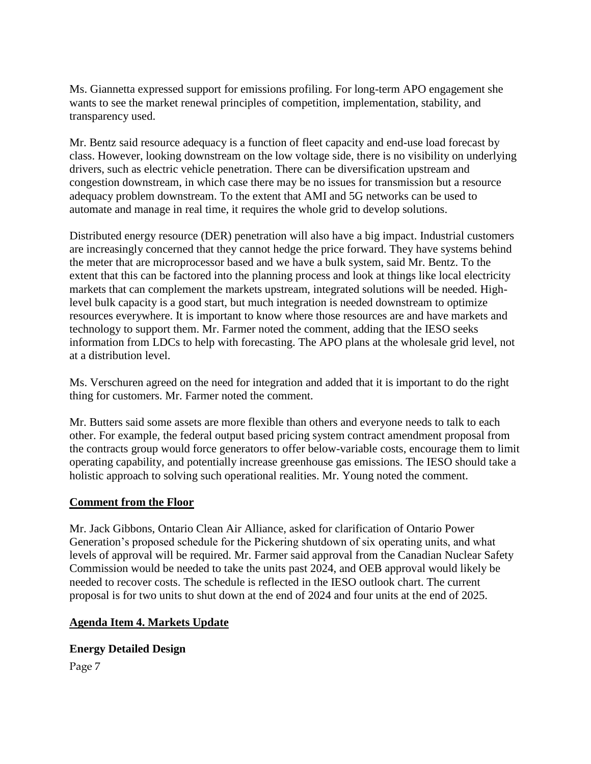Ms. Giannetta expressed support for emissions profiling. For long-term APO engagement she wants to see the market renewal principles of competition, implementation, stability, and transparency used.

Mr. Bentz said resource adequacy is a function of fleet capacity and end-use load forecast by class. However, looking downstream on the low voltage side, there is no visibility on underlying drivers, such as electric vehicle penetration. There can be diversification upstream and congestion downstream, in which case there may be no issues for transmission but a resource adequacy problem downstream. To the extent that AMI and 5G networks can be used to automate and manage in real time, it requires the whole grid to develop solutions.

Distributed energy resource (DER) penetration will also have a big impact. Industrial customers are increasingly concerned that they cannot hedge the price forward. They have systems behind the meter that are microprocessor based and we have a bulk system, said Mr. Bentz. To the extent that this can be factored into the planning process and look at things like local electricity markets that can complement the markets upstream, integrated solutions will be needed. Highlevel bulk capacity is a good start, but much integration is needed downstream to optimize resources everywhere. It is important to know where those resources are and have markets and technology to support them. Mr. Farmer noted the comment, adding that the IESO seeks information from LDCs to help with forecasting. The APO plans at the wholesale grid level, not at a distribution level.

Ms. Verschuren agreed on the need for integration and added that it is important to do the right thing for customers. Mr. Farmer noted the comment.

Mr. Butters said some assets are more flexible than others and everyone needs to talk to each other. For example, the federal output based pricing system contract amendment proposal from the contracts group would force generators to offer below-variable costs, encourage them to limit operating capability, and potentially increase greenhouse gas emissions. The IESO should take a holistic approach to solving such operational realities. Mr. Young noted the comment.

#### **Comment from the Floor**

Mr. Jack Gibbons, Ontario Clean Air Alliance, asked for clarification of Ontario Power Generation's proposed schedule for the Pickering shutdown of six operating units, and what levels of approval will be required. Mr. Farmer said approval from the Canadian Nuclear Safety Commission would be needed to take the units past 2024, and OEB approval would likely be needed to recover costs. The schedule is reflected in the IESO outlook chart. The current proposal is for two units to shut down at the end of 2024 and four units at the end of 2025.

## **Agenda Item 4. Markets Update**

## **Energy Detailed Design**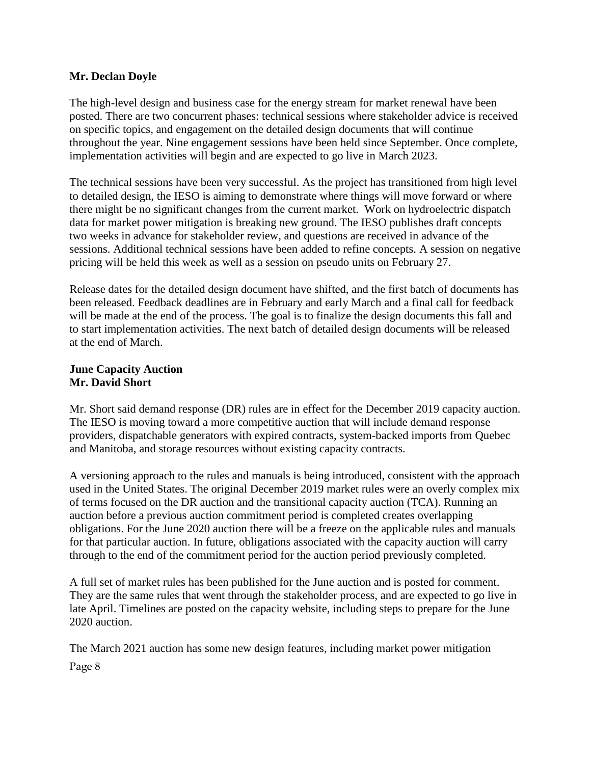#### **Mr. Declan Doyle**

The high-level design and business case for the energy stream for market renewal have been posted. There are two concurrent phases: technical sessions where stakeholder advice is received on specific topics, and engagement on the detailed design documents that will continue throughout the year. Nine engagement sessions have been held since September. Once complete, implementation activities will begin and are expected to go live in March 2023.

The technical sessions have been very successful. As the project has transitioned from high level to detailed design, the IESO is aiming to demonstrate where things will move forward or where there might be no significant changes from the current market. Work on hydroelectric dispatch data for market power mitigation is breaking new ground. The IESO publishes draft concepts two weeks in advance for stakeholder review, and questions are received in advance of the sessions. Additional technical sessions have been added to refine concepts. A session on negative pricing will be held this week as well as a session on pseudo units on February 27.

Release dates for the detailed design document have shifted, and the first batch of documents has been released. Feedback deadlines are in February and early March and a final call for feedback will be made at the end of the process. The goal is to finalize the design documents this fall and to start implementation activities. The next batch of detailed design documents will be released at the end of March.

#### **June Capacity Auction Mr. David Short**

Mr. Short said demand response (DR) rules are in effect for the December 2019 capacity auction. The IESO is moving toward a more competitive auction that will include demand response providers, dispatchable generators with expired contracts, system-backed imports from Quebec and Manitoba, and storage resources without existing capacity contracts.

A versioning approach to the rules and manuals is being introduced, consistent with the approach used in the United States. The original December 2019 market rules were an overly complex mix of terms focused on the DR auction and the transitional capacity auction (TCA). Running an auction before a previous auction commitment period is completed creates overlapping obligations. For the June 2020 auction there will be a freeze on the applicable rules and manuals for that particular auction. In future, obligations associated with the capacity auction will carry through to the end of the commitment period for the auction period previously completed.

A full set of market rules has been published for the June auction and is posted for comment. They are the same rules that went through the stakeholder process, and are expected to go live in late April. Timelines are posted on the capacity website, including steps to prepare for the June 2020 auction.

Page 8 The March 2021 auction has some new design features, including market power mitigation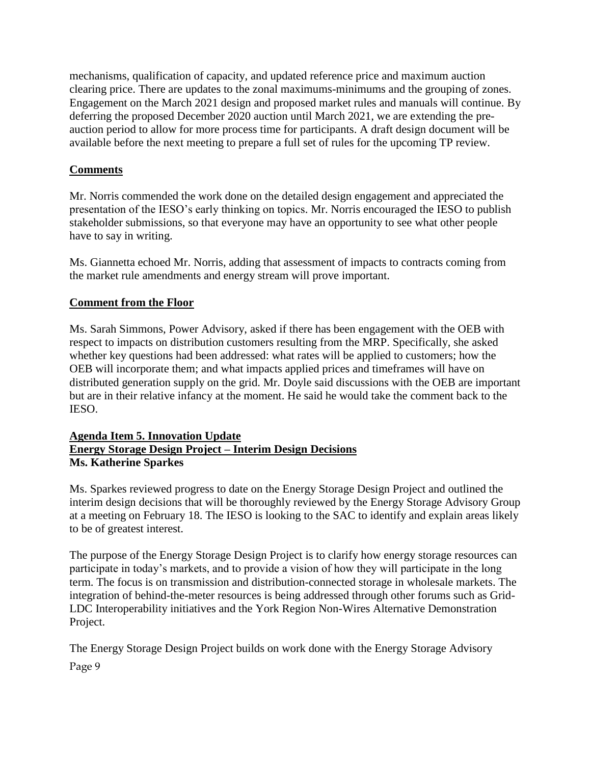mechanisms, qualification of capacity, and updated reference price and maximum auction clearing price. There are updates to the zonal maximums-minimums and the grouping of zones. Engagement on the March 2021 design and proposed market rules and manuals will continue. By deferring the proposed December 2020 auction until March 2021, we are extending the preauction period to allow for more process time for participants. A draft design document will be available before the next meeting to prepare a full set of rules for the upcoming TP review.

## **Comments**

Mr. Norris commended the work done on the detailed design engagement and appreciated the presentation of the IESO's early thinking on topics. Mr. Norris encouraged the IESO to publish stakeholder submissions, so that everyone may have an opportunity to see what other people have to say in writing.

Ms. Giannetta echoed Mr. Norris, adding that assessment of impacts to contracts coming from the market rule amendments and energy stream will prove important.

## **Comment from the Floor**

Ms. Sarah Simmons, Power Advisory, asked if there has been engagement with the OEB with respect to impacts on distribution customers resulting from the MRP. Specifically, she asked whether key questions had been addressed: what rates will be applied to customers; how the OEB will incorporate them; and what impacts applied prices and timeframes will have on distributed generation supply on the grid. Mr. Doyle said discussions with the OEB are important but are in their relative infancy at the moment. He said he would take the comment back to the IESO.

#### **Agenda Item 5. Innovation Update Energy Storage Design Project – Interim Design Decisions Ms. Katherine Sparkes**

Ms. Sparkes reviewed progress to date on the Energy Storage Design Project and outlined the interim design decisions that will be thoroughly reviewed by the Energy Storage Advisory Group at a meeting on February 18. The IESO is looking to the SAC to identify and explain areas likely to be of greatest interest.

The purpose of the Energy Storage Design Project is to clarify how energy storage resources can participate in today's markets, and to provide a vision of how they will participate in the long term. The focus is on transmission and distribution-connected storage in wholesale markets. The integration of behind-the-meter resources is being addressed through other forums such as Grid-LDC Interoperability initiatives and the York Region Non-Wires Alternative Demonstration Project.

Page 9 The Energy Storage Design Project builds on work done with the Energy Storage Advisory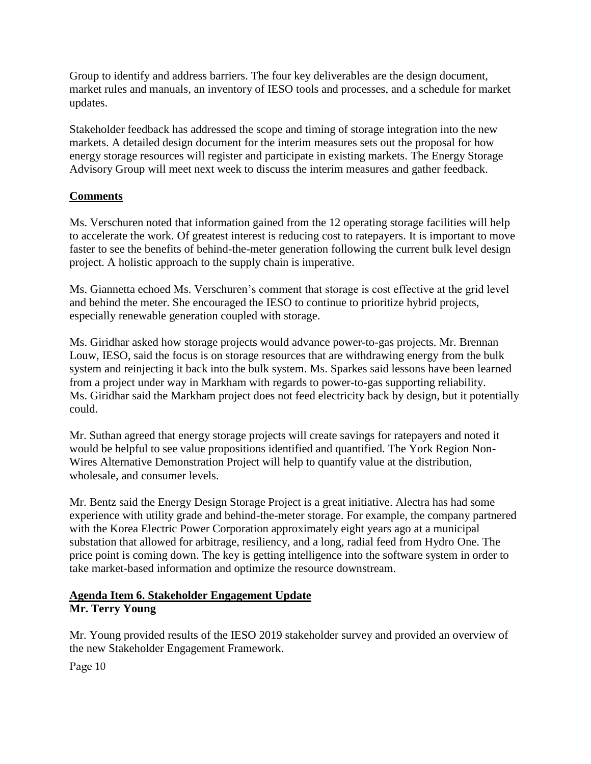Group to identify and address barriers. The four key deliverables are the design document, market rules and manuals, an inventory of IESO tools and processes, and a schedule for market updates.

Stakeholder feedback has addressed the scope and timing of storage integration into the new markets. A detailed design document for the interim measures sets out the proposal for how energy storage resources will register and participate in existing markets. The Energy Storage Advisory Group will meet next week to discuss the interim measures and gather feedback.

# **Comments**

Ms. Verschuren noted that information gained from the 12 operating storage facilities will help to accelerate the work. Of greatest interest is reducing cost to ratepayers. It is important to move faster to see the benefits of behind-the-meter generation following the current bulk level design project. A holistic approach to the supply chain is imperative.

Ms. Giannetta echoed Ms. Verschuren's comment that storage is cost effective at the grid level and behind the meter. She encouraged the IESO to continue to prioritize hybrid projects, especially renewable generation coupled with storage.

Ms. Giridhar asked how storage projects would advance power-to-gas projects. Mr. Brennan Louw, IESO, said the focus is on storage resources that are withdrawing energy from the bulk system and reinjecting it back into the bulk system. Ms. Sparkes said lessons have been learned from a project under way in Markham with regards to power-to-gas supporting reliability. Ms. Giridhar said the Markham project does not feed electricity back by design, but it potentially could.

Mr. Suthan agreed that energy storage projects will create savings for ratepayers and noted it would be helpful to see value propositions identified and quantified. The York Region Non-Wires Alternative Demonstration Project will help to quantify value at the distribution, wholesale, and consumer levels.

Mr. Bentz said the Energy Design Storage Project is a great initiative. Alectra has had some experience with utility grade and behind-the-meter storage. For example, the company partnered with the Korea Electric Power Corporation approximately eight years ago at a municipal substation that allowed for arbitrage, resiliency, and a long, radial feed from Hydro One. The price point is coming down. The key is getting intelligence into the software system in order to take market-based information and optimize the resource downstream.

# **Agenda Item 6. Stakeholder Engagement Update Mr. Terry Young**

Mr. Young provided results of the IESO 2019 stakeholder survey and provided an overview of the new Stakeholder Engagement Framework.